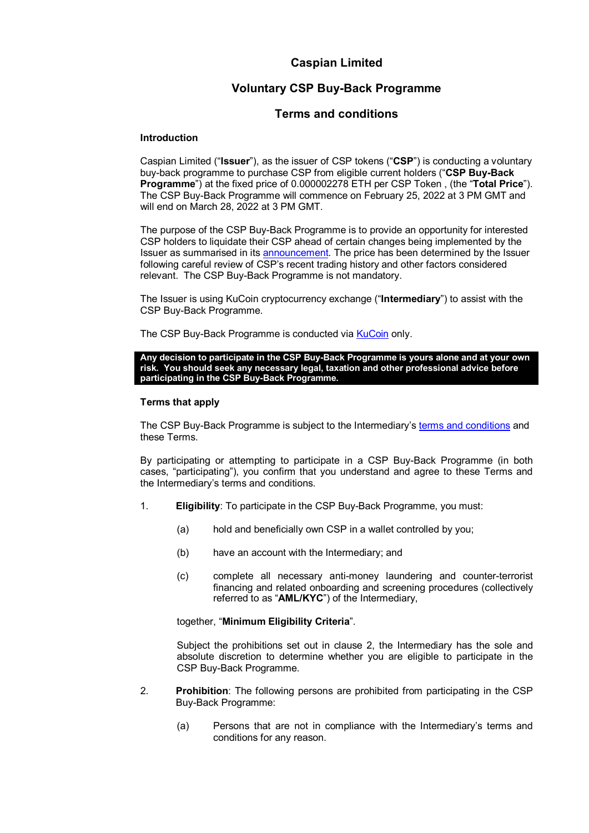# **Caspian Limited**

# **Voluntary CSP Buy-Back Programme**

## **Terms and conditions**

#### **Introduction**

Caspian Limited ("**Issuer**"), as the issuer of CSP tokens ("**CSP**") is conducting a voluntary buy-back programme to purchase CSP from eligible current holders ("**CSP Buy-Back Programme**") at the fixed price of 0.000002278 ETH per CSP Token , (the "**Total Price**"). The CSP Buy-Back Programme will commence on February 25, 2022 at 3 PM GMT and will end on March 28, 2022 at 3 PM GMT.

The purpose of the CSP Buy-Back Programme is to provide an opportunity for interested CSP holders to liquidate their CSP ahead of certain changes being implemented by the Issuer as summarised in it[s announcement.](https://caspian.tech/wp-content/uploads/2022/02/CSPBuyBack-Programme.pdf) The price has been determined by the Issuer following careful review of CSP's recent trading history and other factors considered relevant. The CSP Buy-Back Programme is not mandatory.

The Issuer is using KuCoin cryptocurrency exchange ("**Intermediary**") to assist with the CSP Buy-Back Programme.

The CSP Buy-Back Programme is conducted via [KuCoin](https://www.kucoin.com/ucenter/signup?rcode=rBNVW5S) only.

#### **Any decision to participate in the CSP Buy-Back Programme is yours alone and at your own risk. You should seek any necessary legal, taxation and other professional advice before participating in the CSP Buy-Back Programme.**

#### **Terms that apply**

The CSP Buy-Back Programme is subject to the Intermediary's [terms and conditions](https://www.kucoin.com/news/en-terms-of-use) and these Terms.

By participating or attempting to participate in a CSP Buy-Back Programme (in both cases, "participating"), you confirm that you understand and agree to these Terms and the Intermediary's terms and conditions.

- 1. **Eligibility**: To participate in the CSP Buy-Back Programme, you must:
	- (a) hold and beneficially own CSP in a wallet controlled by you;
	- (b) have an account with the Intermediary; and
	- (c) complete all necessary anti-money laundering and counter-terrorist financing and related onboarding and screening procedures (collectively referred to as "**AML/KYC**") of the Intermediary,

together, "**Minimum Eligibility Criteria**".

Subject the prohibitions set out in clause [2,](#page-0-0) the Intermediary has the sole and absolute discretion to determine whether you are eligible to participate in the CSP Buy-Back Programme.

- <span id="page-0-0"></span>2. **Prohibition**: The following persons are prohibited from participating in the CSP Buy-Back Programme:
	- (a) Persons that are not in compliance with the Intermediary's terms and conditions for any reason.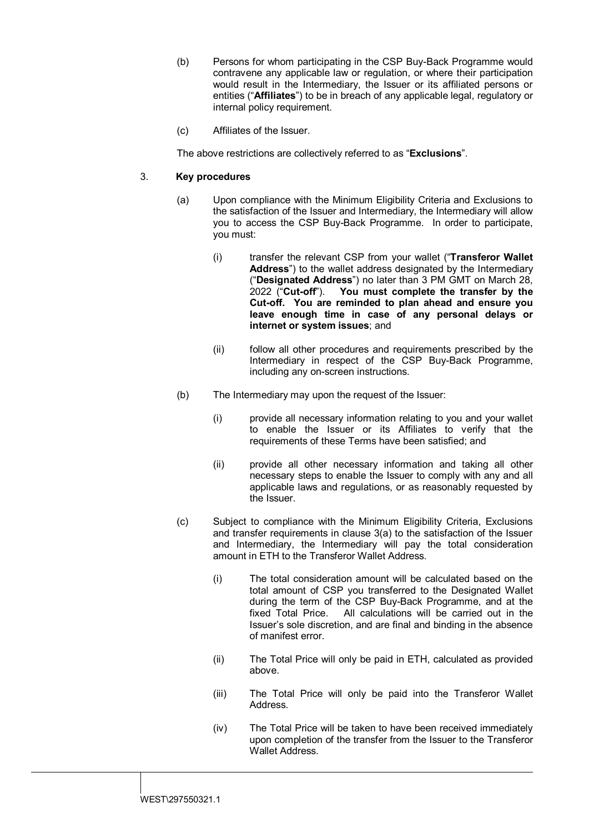- (b) Persons for whom participating in the CSP Buy-Back Programme would contravene any applicable law or regulation, or where their participation would result in the Intermediary, the Issuer or its affiliated persons or entities ("**Affiliates**") to be in breach of any applicable legal, regulatory or internal policy requirement.
- (c) Affiliates of the Issuer.

The above restrictions are collectively referred to as "**Exclusions**".

## 3. **Key procedures**

- (a) Upon compliance with the Minimum Eligibility Criteria and Exclusions to the satisfaction of the Issuer and Intermediary, the Intermediary will allow you to access the CSP Buy-Back Programme. In order to participate, you must:
	- (i) transfer the relevant CSP from your wallet ("**Transferor Wallet Address**") to the wallet address designated by the Intermediary ("**Designated Address**") no later than 3 PM GMT on March 28, 2022 ("**Cut-off**"). **You must complete the transfer by the Cut-off. You are reminded to plan ahead and ensure you leave enough time in case of any personal delays or internet or system issues**; and
	- (ii) follow all other procedures and requirements prescribed by the Intermediary in respect of the CSP Buy-Back Programme, including any on-screen instructions.
- (b) The Intermediary may upon the request of the Issuer:
	- (i) provide all necessary information relating to you and your wallet to enable the Issuer or its Affiliates to verify that the requirements of these Terms have been satisfied; and
	- (ii) provide all other necessary information and taking all other necessary steps to enable the Issuer to comply with any and all applicable laws and regulations, or as reasonably requested by the Issuer.
- (c) Subject to compliance with the Minimum Eligibility Criteria, Exclusions and transfer requirements in clause 3(a) to the satisfaction of the Issuer and Intermediary, the Intermediary will pay the total consideration amount in ETH to the Transferor Wallet Address.
	- (i) The total consideration amount will be calculated based on the total amount of CSP you transferred to the Designated Wallet during the term of the CSP Buy-Back Programme, and at the fixed Total Price. All calculations will be carried out in the All calculations will be carried out in the Issuer's sole discretion, and are final and binding in the absence of manifest error.
	- (ii) The Total Price will only be paid in ETH, calculated as provided above.
	- (iii) The Total Price will only be paid into the Transferor Wallet Address.
	- (iv) The Total Price will be taken to have been received immediately upon completion of the transfer from the Issuer to the Transferor Wallet Address.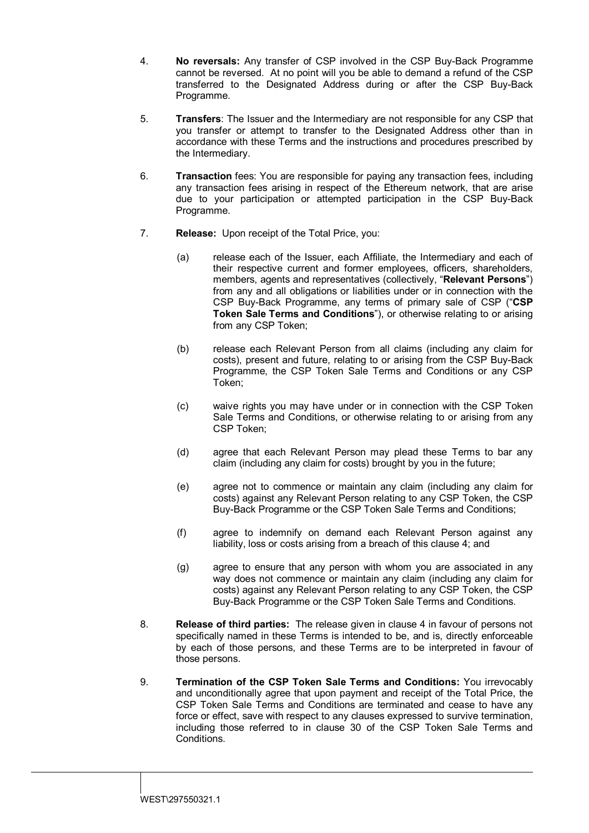- <span id="page-2-0"></span>4. **No reversals:** Any transfer of CSP involved in the CSP Buy-Back Programme cannot be reversed. At no point will you be able to demand a refund of the CSP transferred to the Designated Address during or after the CSP Buy-Back Programme.
- 5. **Transfers**: The Issuer and the Intermediary are not responsible for any CSP that you transfer or attempt to transfer to the Designated Address other than in accordance with these Terms and the instructions and procedures prescribed by the Intermediary.
- 6. **Transaction** fees: You are responsible for paying any transaction fees, including any transaction fees arising in respect of the Ethereum network, that are arise due to your participation or attempted participation in the CSP Buy-Back Programme.
- 7. **Release:** Upon receipt of the Total Price, you:
	- (a) release each of the Issuer, each Affiliate, the Intermediary and each of their respective current and former employees, officers, shareholders, members, agents and representatives (collectively, "**Relevant Persons**") from any and all obligations or liabilities under or in connection with the CSP Buy-Back Programme, any terms of primary sale of CSP ("**CSP Token Sale Terms and Conditions**"), or otherwise relating to or arising from any CSP Token;
	- (b) release each Relevant Person from all claims (including any claim for costs), present and future, relating to or arising from the CSP Buy-Back Programme, the CSP Token Sale Terms and Conditions or any CSP Token;
	- (c) waive rights you may have under or in connection with the CSP Token Sale Terms and Conditions, or otherwise relating to or arising from any CSP Token;
	- (d) agree that each Relevant Person may plead these Terms to bar any claim (including any claim for costs) brought by you in the future;
	- (e) agree not to commence or maintain any claim (including any claim for costs) against any Relevant Person relating to any CSP Token, the CSP Buy-Back Programme or the CSP Token Sale Terms and Conditions;
	- (f) agree to indemnify on demand each Relevant Person against any liability, loss or costs arising from a breach of this clause [4;](#page-2-0) and
	- (g) agree to ensure that any person with whom you are associated in any way does not commence or maintain any claim (including any claim for costs) against any Relevant Person relating to any CSP Token, the CSP Buy-Back Programme or the CSP Token Sale Terms and Conditions.
- 8. **Release of third parties:** The release given in clause [4](#page-2-0) in favour of persons not specifically named in these Terms is intended to be, and is, directly enforceable by each of those persons, and these Terms are to be interpreted in favour of those persons.
- 9. **Termination of the CSP Token Sale Terms and Conditions:** You irrevocably and unconditionally agree that upon payment and receipt of the Total Price, the CSP Token Sale Terms and Conditions are terminated and cease to have any force or effect, save with respect to any clauses expressed to survive termination, including those referred to in clause 30 of the CSP Token Sale Terms and Conditions.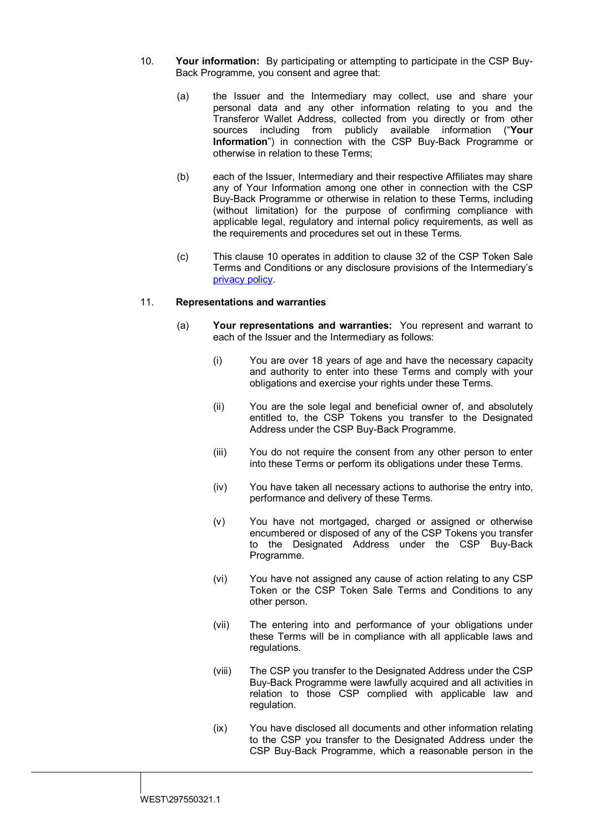- <span id="page-3-0"></span>10. **Your information:** By participating or attempting to participate in the CSP Buy-Back Programme, you consent and agree that:
	- (a) the Issuer and the Intermediary may collect, use and share your personal data and any other information relating to you and the Transferor Wallet Address, collected from you directly or from other sources including from publicly available information ("**Your Information**") in connection with the CSP Buy-Back Programme or otherwise in relation to these Terms;
	- (b) each of the Issuer, Intermediary and their respective Affiliates may share any of Your Information among one other in connection with the CSP Buy-Back Programme or otherwise in relation to these Terms, including (without limitation) for the purpose of confirming compliance with applicable legal, regulatory and internal policy requirements, as well as the requirements and procedures set out in these Terms.
	- (c) This clause [10](#page-3-0) operates in addition to clause 32 of the CSP Token Sale Terms and Conditions or any disclosure provisions of the Intermediary's [privacy policy.](https://www.kucoin.com/news/en-privacy-policy#:%7E:text=We%20may%20collect%20personally%20identifiable,make%20available%20on%20our%20Site.)

## 11. **Representations and warranties**

- (a) **Your representations and warranties:** You represent and warrant to each of the Issuer and the Intermediary as follows:
	- (i) You are over 18 years of age and have the necessary capacity and authority to enter into these Terms and comply with your obligations and exercise your rights under these Terms.
	- (ii) You are the sole legal and beneficial owner of, and absolutely entitled to, the CSP Tokens you transfer to the Designated Address under the CSP Buy-Back Programme.
	- (iii) You do not require the consent from any other person to enter into these Terms or perform its obligations under these Terms.
	- (iv) You have taken all necessary actions to authorise the entry into, performance and delivery of these Terms.
	- (v) You have not mortgaged, charged or assigned or otherwise encumbered or disposed of any of the CSP Tokens you transfer to the Designated Address under the CSP Buy-Back Programme.
	- (vi) You have not assigned any cause of action relating to any CSP Token or the CSP Token Sale Terms and Conditions to any other person.
	- (vii) The entering into and performance of your obligations under these Terms will be in compliance with all applicable laws and regulations.
	- (viii) The CSP you transfer to the Designated Address under the CSP Buy-Back Programme were lawfully acquired and all activities in relation to those CSP complied with applicable law and regulation.
	- (ix) You have disclosed all documents and other information relating to the CSP you transfer to the Designated Address under the CSP Buy-Back Programme, which a reasonable person in the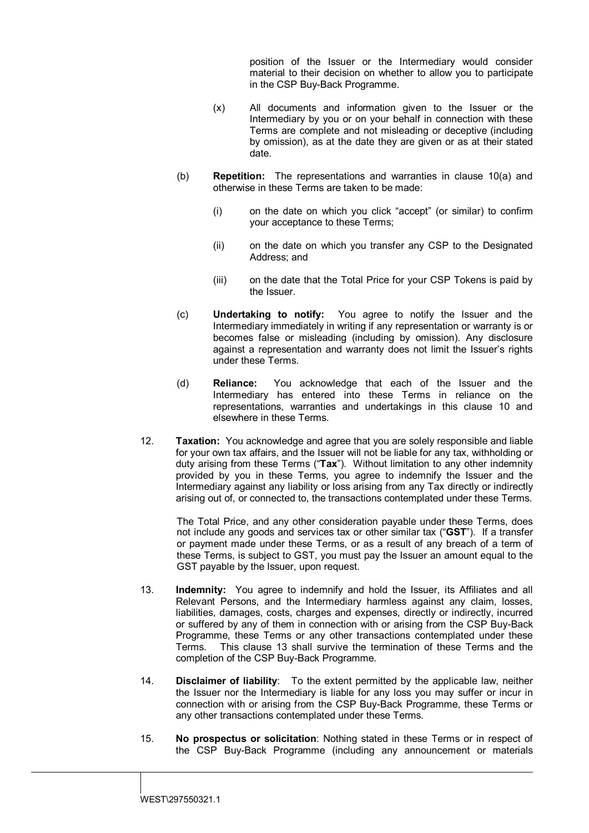position of the Issuer or the Intermediary would consider material to their decision on whether to allow you to participate in the CSP Buy-Back Programme.

- (x) All documents and information given to the Issuer or the Intermediary by you or on your behalf in connection with these Terms are complete and not misleading or deceptive (including by omission), as at the date they are given or as at their stated date.
- (b) **Repetition:** The representations and warranties in clause [10\(a\)](#page-3-0) and otherwise in these Terms are taken to be made:
	- (i) on the date on which you click "accept" (or similar) to confirm your acceptance to these Terms;
	- (ii) on the date on which you transfer any CSP to the Designated Address; and
	- (iii) on the date that the Total Price for your CSP Tokens is paid by the Issuer.
- (c) **Undertaking to notify:** You agree to notify the Issuer and the Intermediary immediately in writing if any representation or warranty is or becomes false or misleading (including by omission). Any disclosure against a representation and warranty does not limit the Issuer's rights under these Terms.
- (d) **Reliance:** You acknowledge that each of the Issuer and the Intermediary has entered into these Terms in reliance on the representations, warranties and undertakings in this clause [10](#page-3-0) and elsewhere in these Terms.
- 12. **Taxation:** You acknowledge and agree that you are solely responsible and liable for your own tax affairs, and the Issuer will not be liable for any tax, withholding or duty arising from these Terms ("**Tax**"). Without limitation to any other indemnity provided by you in these Terms, you agree to indemnify the Issuer and the Intermediary against any liability or loss arising from any Tax directly or indirectly arising out of, or connected to, the transactions contemplated under these Terms.

The Total Price, and any other consideration payable under these Terms, does not include any goods and services tax or other similar tax ("**GST**").If a transfer or payment made under these Terms, or as a result of any breach of a term of these Terms, is subject to GST, you must pay the Issuer an amount equal to the GST payable by the Issuer, upon request.

- <span id="page-4-0"></span>13. **Indemnity:** You agree to indemnify and hold the Issuer, its Affiliates and all Relevant Persons, and the Intermediary harmless against any claim, losses, liabilities, damages, costs, charges and expenses, directly or indirectly, incurred or suffered by any of them in connection with or arising from the CSP Buy-Back Programme, these Terms or any other transactions contemplated under these Terms. This clause [13](#page-4-0) shall survive the termination of these Terms and the completion of the CSP Buy-Back Programme.
- 14. **Disclaimer of liability**: To the extent permitted by the applicable law, neither the Issuer nor the Intermediary is liable for any loss you may suffer or incur in connection with or arising from the CSP Buy-Back Programme, these Terms or any other transactions contemplated under these Terms.
- 15. **No prospectus or solicitation**: Nothing stated in these Terms or in respect of the CSP Buy-Back Programme (including any announcement or materials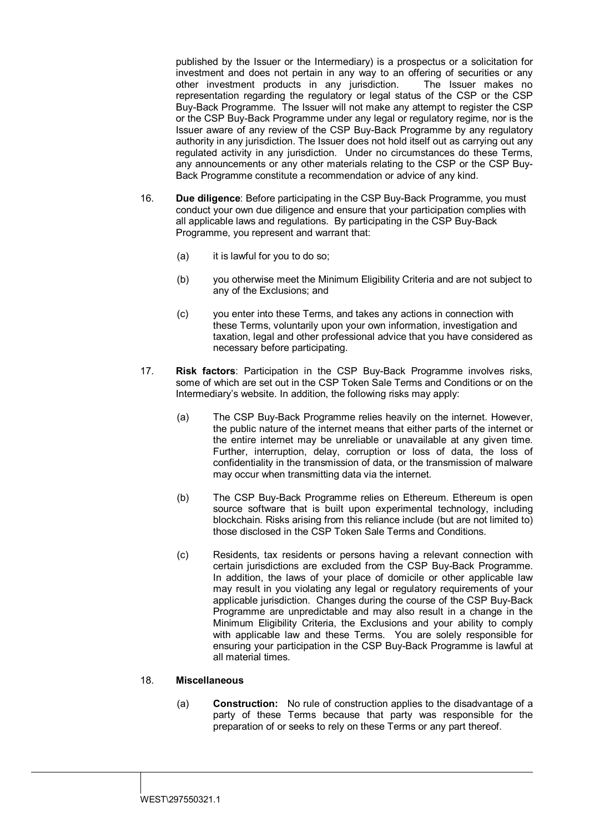published by the Issuer or the Intermediary) is a prospectus or a solicitation for investment and does not pertain in any way to an offering of securities or any other investment products in any jurisdiction. The Issuer makes no other investment products in any jurisdiction. representation regarding the regulatory or legal status of the CSP or the CSP Buy-Back Programme. The Issuer will not make any attempt to register the CSP or the CSP Buy-Back Programme under any legal or regulatory regime, nor is the Issuer aware of any review of the CSP Buy-Back Programme by any regulatory authority in any jurisdiction. The Issuer does not hold itself out as carrying out any regulated activity in any jurisdiction. Under no circumstances do these Terms, any announcements or any other materials relating to the CSP or the CSP Buy-Back Programme constitute a recommendation or advice of any kind.

- 16. **Due diligence**: Before participating in the CSP Buy-Back Programme, you must conduct your own due diligence and ensure that your participation complies with all applicable laws and regulations. By participating in the CSP Buy-Back Programme, you represent and warrant that:
	- (a) it is lawful for you to do so;
	- (b) you otherwise meet the Minimum Eligibility Criteria and are not subject to any of the Exclusions; and
	- (c) you enter into these Terms, and takes any actions in connection with these Terms, voluntarily upon your own information, investigation and taxation, legal and other professional advice that you have considered as necessary before participating.
- 17. **Risk factors**: Participation in the CSP Buy-Back Programme involves risks, some of which are set out in the CSP Token Sale Terms and Conditions or on the Intermediary's website. In addition, the following risks may apply:
	- (a) The CSP Buy-Back Programme relies heavily on the internet. However, the public nature of the internet means that either parts of the internet or the entire internet may be unreliable or unavailable at any given time. Further, interruption, delay, corruption or loss of data, the loss of confidentiality in the transmission of data, or the transmission of malware may occur when transmitting data via the internet.
	- (b) The CSP Buy-Back Programme relies on Ethereum. Ethereum is open source software that is built upon experimental technology, including blockchain. Risks arising from this reliance include (but are not limited to) those disclosed in the CSP Token Sale Terms and Conditions.
	- (c) Residents, tax residents or persons having a relevant connection with certain jurisdictions are excluded from the CSP Buy-Back Programme. In addition, the laws of your place of domicile or other applicable law may result in you violating any legal or regulatory requirements of your applicable jurisdiction. Changes during the course of the CSP Buy-Back Programme are unpredictable and may also result in a change in the Minimum Eligibility Criteria, the Exclusions and your ability to comply with applicable law and these Terms. You are solely responsible for ensuring your participation in the CSP Buy-Back Programme is lawful at all material times.

## 18. **Miscellaneous**

(a) **Construction:** No rule of construction applies to the disadvantage of a party of these Terms because that party was responsible for the preparation of or seeks to rely on these Terms or any part thereof.